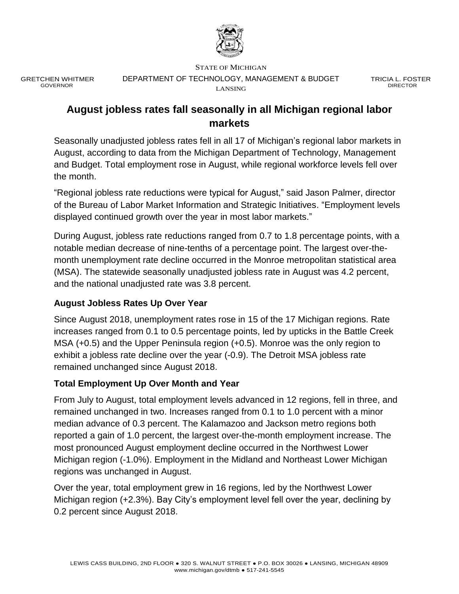

GRETCHEN WHITMER GOVERNOR

STATE OF MICHIGAN DEPARTMENT OF TECHNOLOGY, MANAGEMENT & BUDGET LANSING

TRICIA L. FOSTER DIRECTOR

# **August jobless rates fall seasonally in all Michigan regional labor markets**

Seasonally unadjusted jobless rates fell in all 17 of Michigan's regional labor markets in August, according to data from the Michigan Department of Technology, Management and Budget. Total employment rose in August, while regional workforce levels fell over the month.

"Regional jobless rate reductions were typical for August," said Jason Palmer, director of the Bureau of Labor Market Information and Strategic Initiatives. "Employment levels displayed continued growth over the year in most labor markets."

During August, jobless rate reductions ranged from 0.7 to 1.8 percentage points, with a notable median decrease of nine-tenths of a percentage point. The largest over-themonth unemployment rate decline occurred in the Monroe metropolitan statistical area (MSA). The statewide seasonally unadjusted jobless rate in August was 4.2 percent, and the national unadjusted rate was 3.8 percent.

## **August Jobless Rates Up Over Year**

Since August 2018, unemployment rates rose in 15 of the 17 Michigan regions. Rate increases ranged from 0.1 to 0.5 percentage points, led by upticks in the Battle Creek MSA (+0.5) and the Upper Peninsula region (+0.5). Monroe was the only region to exhibit a jobless rate decline over the year (-0.9). The Detroit MSA jobless rate remained unchanged since August 2018.

## **Total Employment Up Over Month and Year**

From July to August, total employment levels advanced in 12 regions, fell in three, and remained unchanged in two. Increases ranged from 0.1 to 1.0 percent with a minor median advance of 0.3 percent. The Kalamazoo and Jackson metro regions both reported a gain of 1.0 percent, the largest over-the-month employment increase. The most pronounced August employment decline occurred in the Northwest Lower Michigan region (-1.0%). Employment in the Midland and Northeast Lower Michigan regions was unchanged in August.

Over the year, total employment grew in 16 regions, led by the Northwest Lower Michigan region (+2.3%). Bay City's employment level fell over the year, declining by 0.2 percent since August 2018.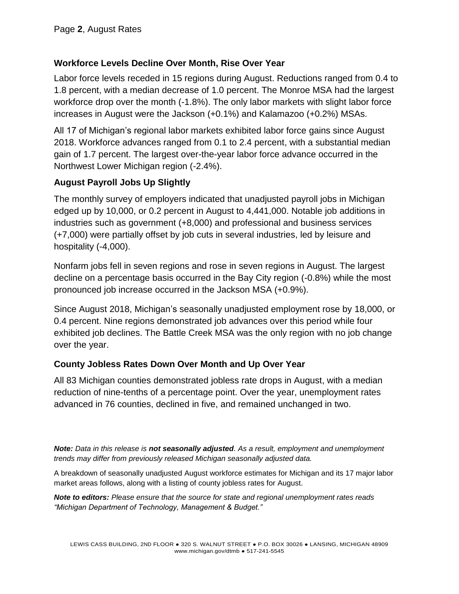## **Workforce Levels Decline Over Month, Rise Over Year**

Labor force levels receded in 15 regions during August. Reductions ranged from 0.4 to 1.8 percent, with a median decrease of 1.0 percent. The Monroe MSA had the largest workforce drop over the month (-1.8%). The only labor markets with slight labor force increases in August were the Jackson (+0.1%) and Kalamazoo (+0.2%) MSAs.

All 17 of Michigan's regional labor markets exhibited labor force gains since August 2018. Workforce advances ranged from 0.1 to 2.4 percent, with a substantial median gain of 1.7 percent. The largest over-the-year labor force advance occurred in the Northwest Lower Michigan region (-2.4%).

## **August Payroll Jobs Up Slightly**

The monthly survey of employers indicated that unadjusted payroll jobs in Michigan edged up by 10,000, or 0.2 percent in August to 4,441,000. Notable job additions in industries such as government (+8,000) and professional and business services (+7,000) were partially offset by job cuts in several industries, led by leisure and hospitality (-4,000).

Nonfarm jobs fell in seven regions and rose in seven regions in August. The largest decline on a percentage basis occurred in the Bay City region (-0.8%) while the most pronounced job increase occurred in the Jackson MSA (+0.9%).

Since August 2018, Michigan's seasonally unadjusted employment rose by 18,000, or 0.4 percent. Nine regions demonstrated job advances over this period while four exhibited job declines. The Battle Creek MSA was the only region with no job change over the year.

## **County Jobless Rates Down Over Month and Up Over Year**

All 83 Michigan counties demonstrated jobless rate drops in August, with a median reduction of nine-tenths of a percentage point. Over the year, unemployment rates advanced in 76 counties, declined in five, and remained unchanged in two.

*Note: Data in this release is not seasonally adjusted. As a result, employment and unemployment trends may differ from previously released Michigan seasonally adjusted data.*

A breakdown of seasonally unadjusted August workforce estimates for Michigan and its 17 major labor market areas follows, along with a listing of county jobless rates for August.

*Note to editors: Please ensure that the source for state and regional unemployment rates reads "Michigan Department of Technology, Management & Budget."*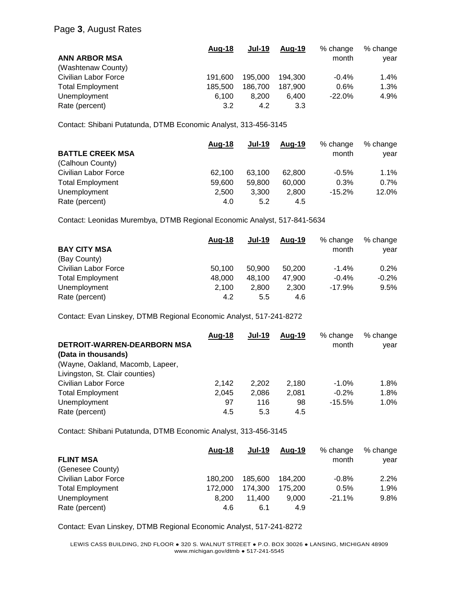|                             | Aug-18  | <b>Jul-19</b> | Aug-19  | % change | % change |
|-----------------------------|---------|---------------|---------|----------|----------|
| <b>ANN ARBOR MSA</b>        |         |               |         | month    | year     |
| (Washtenaw County)          |         |               |         |          |          |
| <b>Civilian Labor Force</b> | 191.600 | 195,000       | 194.300 | $-0.4%$  | $1.4\%$  |
| <b>Total Employment</b>     | 185.500 | 186.700       | 187.900 | 0.6%     | 1.3%     |
| Unemployment                | 6.100   | 8.200         | 6.400   | $-22.0%$ | 4.9%     |
| Rate (percent)              | 3.2     | 4.2           | 3.3     |          |          |

Contact: Shibani Putatunda, DTMB Economic Analyst, 313-456-3145

|                         | <u>Aug-18</u> | <b>Jul-19</b> | Aug-19 | % change | % change |
|-------------------------|---------------|---------------|--------|----------|----------|
| <b>BATTLE CREEK MSA</b> |               |               |        | month    | vear     |
| (Calhoun County)        |               |               |        |          |          |
| Civilian Labor Force    | 62.100        | 63.100        | 62.800 | $-0.5%$  | 1.1%     |
| <b>Total Employment</b> | 59.600        | 59,800        | 60,000 | 0.3%     | 0.7%     |
| Unemployment            | 2.500         | 3.300         | 2.800  | $-15.2%$ | 12.0%    |
| Rate (percent)          | 4.0           | 5.2           | 4.5    |          |          |

Contact: Leonidas Murembya, DTMB Regional Economic Analyst, 517-841-5634

|                         | Aug-18 | <b>Jul-19</b> | Aug-19 | % change | % change |
|-------------------------|--------|---------------|--------|----------|----------|
| <b>BAY CITY MSA</b>     |        |               |        | month    | year     |
| (Bay County)            |        |               |        |          |          |
| Civilian Labor Force    | 50.100 | 50.900        | 50.200 | $-1.4%$  | 0.2%     |
| <b>Total Employment</b> | 48,000 | 48.100        | 47.900 | $-0.4%$  | $-0.2%$  |
| Unemployment            | 2,100  | 2.800         | 2,300  | $-17.9%$ | 9.5%     |
| Rate (percent)          | 4.2    | 5.5           | 4.6    |          |          |

Contact: Evan Linskey, DTMB Regional Economic Analyst, 517-241-8272

|                                    | Aug-18 | <b>Jul-19</b> | Aug-19 | % change | % change |
|------------------------------------|--------|---------------|--------|----------|----------|
| <b>DETROIT-WARREN-DEARBORN MSA</b> |        |               |        | month    | vear     |
| (Data in thousands)                |        |               |        |          |          |
| (Wayne, Oakland, Macomb, Lapeer,   |        |               |        |          |          |
| Livingston, St. Clair counties)    |        |               |        |          |          |
| Civilian Labor Force               | 2.142  | 2.202         | 2.180  | $-1.0%$  | 1.8%     |
| <b>Total Employment</b>            | 2.045  | 2.086         | 2.081  | $-0.2%$  | 1.8%     |
| Unemployment                       | 97     | 116           | 98     | $-15.5%$ | $1.0\%$  |
| Rate (percent)                     | 4.5    | 5.3           | 4.5    |          |          |

Contact: Shibani Putatunda, DTMB Economic Analyst, 313-456-3145

|                         | Aug-18  | <b>Jul-19</b> | Aug-19  | % change | % change |
|-------------------------|---------|---------------|---------|----------|----------|
| <b>FLINT MSA</b>        |         |               |         | month    | year     |
| (Genesee County)        |         |               |         |          |          |
| Civilian Labor Force    | 180.200 | 185,600       | 184.200 | $-0.8%$  | 2.2%     |
| <b>Total Employment</b> | 172,000 | 174.300       | 175.200 | 0.5%     | 1.9%     |
| Unemployment            | 8.200   | 11.400        | 9.000   | $-21.1%$ | 9.8%     |
| Rate (percent)          | 4.6     | 6.1           | 4.9     |          |          |

Contact: Evan Linskey, DTMB Regional Economic Analyst, 517-241-8272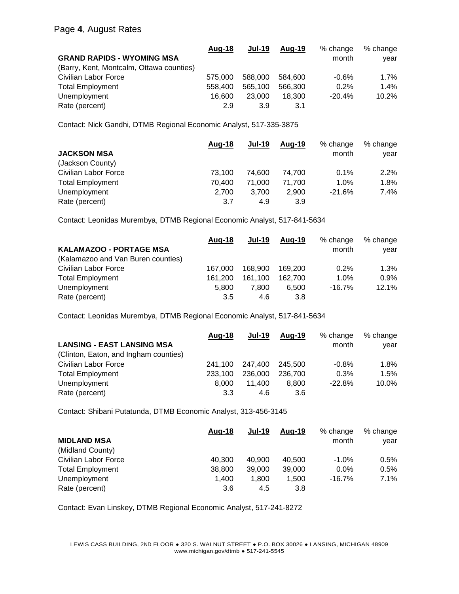#### Page **4**, August Rates

|                                          | Aug-18  | <b>Jul-19</b> | Aug-19  | % change | % change |
|------------------------------------------|---------|---------------|---------|----------|----------|
| <b>GRAND RAPIDS - WYOMING MSA</b>        |         |               |         | month    | vear     |
| (Barry, Kent, Montcalm, Ottawa counties) |         |               |         |          |          |
| Civilian Labor Force                     | 575,000 | 588.000       | 584.600 | $-0.6%$  | $1.7\%$  |
| <b>Total Employment</b>                  | 558,400 | 565.100       | 566,300 | 0.2%     | $1.4\%$  |
| Unemployment                             | 16.600  | 23,000        | 18.300  | $-20.4%$ | 10.2%    |
| Rate (percent)                           | 2.9     | 3.9           | 3.1     |          |          |

Contact: Nick Gandhi, DTMB Regional Economic Analyst, 517-335-3875

|                         | <u>Aug-18</u> | <b>Jul-19</b> | Aug-19 | % change | % change |
|-------------------------|---------------|---------------|--------|----------|----------|
| <b>JACKSON MSA</b>      |               |               |        | month    | vear     |
| (Jackson County)        |               |               |        |          |          |
| Civilian Labor Force    | 73.100        | 74.600        | 74.700 | 0.1%     | 2.2%     |
| <b>Total Employment</b> | 70.400        | 71.000        | 71.700 | 1.0%     | 1.8%     |
| Unemployment            | 2.700         | 3.700         | 2,900  | $-21.6%$ | 7.4%     |
| Rate (percent)          | 3.7           | 4.9           | 3.9    |          |          |

Contact: Leonidas Murembya, DTMB Regional Economic Analyst, 517-841-5634

|                                    | Aug-18  | <b>Jul-19</b> | Aug-19  | % change | % change |
|------------------------------------|---------|---------------|---------|----------|----------|
| <b>KALAMAZOO - PORTAGE MSA</b>     |         |               |         | month    | vear     |
| (Kalamazoo and Van Buren counties) |         |               |         |          |          |
| Civilian Labor Force               | 167.000 | 168.900       | 169.200 | 0.2%     | 1.3%     |
| <b>Total Employment</b>            | 161.200 | 161.100       | 162.700 | 1.0%     | 0.9%     |
| Unemployment                       | 5.800   | 7.800         | 6.500   | $-16.7%$ | 12.1%    |
| Rate (percent)                     | 3.5     | 4.6           | 3.8     |          |          |

Contact: Leonidas Murembya, DTMB Regional Economic Analyst, 517-841-5634

|                                       | Aug-18  | <b>Jul-19</b> | Aug-19  | % change | % change |
|---------------------------------------|---------|---------------|---------|----------|----------|
| <b>LANSING - EAST LANSING MSA</b>     |         |               |         | month    | vear     |
| (Clinton, Eaton, and Ingham counties) |         |               |         |          |          |
| Civilian Labor Force                  | 241.100 | 247.400       | 245.500 | $-0.8%$  | 1.8%     |
| <b>Total Employment</b>               | 233.100 | 236,000       | 236,700 | 0.3%     | 1.5%     |
| Unemployment                          | 8.000   | 11.400        | 8.800   | $-22.8%$ | 10.0%    |
| Rate (percent)                        | 3.3     | 4.6           | 3.6     |          |          |

Contact: Shibani Putatunda, DTMB Economic Analyst, 313-456-3145

|                         | Aug-18 | <b>Jul-19</b> | Aug-19 | % change | % change |
|-------------------------|--------|---------------|--------|----------|----------|
| <b>MIDLAND MSA</b>      |        |               |        | month    | vear     |
| (Midland County)        |        |               |        |          |          |
| Civilian Labor Force    | 40.300 | 40.900        | 40.500 | $-1.0\%$ | 0.5%     |
| <b>Total Employment</b> | 38,800 | 39,000        | 39,000 | $0.0\%$  | 0.5%     |
| Unemployment            | 1.400  | 1.800         | 1,500  | $-16.7%$ | 7.1%     |
| Rate (percent)          | 3.6    | 4.5           | 3.8    |          |          |

Contact: Evan Linskey, DTMB Regional Economic Analyst, 517-241-8272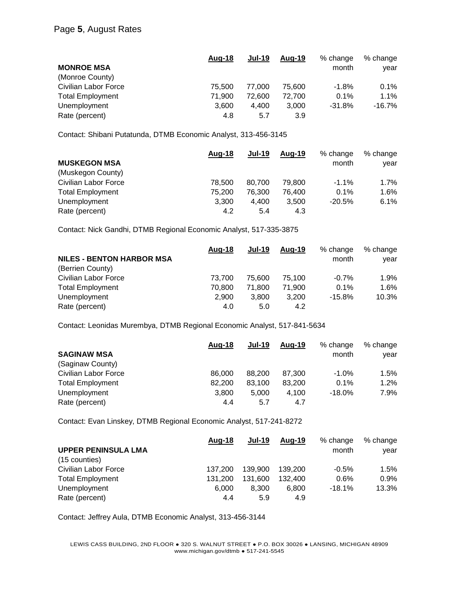#### Page **5**, August Rates

|                         | <u>Aug-18</u> | Jul-19 | Aug-19 | % change | % change  |
|-------------------------|---------------|--------|--------|----------|-----------|
| <b>MONROE MSA</b>       |               |        |        | month    | year      |
| (Monroe County)         |               |        |        |          |           |
| Civilian Labor Force    | 75.500        | 77.000 | 75.600 | $-1.8%$  | $0.1\%$   |
| <b>Total Employment</b> | 71.900        | 72.600 | 72.700 | 0.1%     | $1.1\%$   |
| Unemployment            | 3.600         | 4.400  | 3,000  | $-31.8%$ | $-16.7\%$ |
| Rate (percent)          | 4.8           | 5.7    | 3.9    |          |           |

Contact: Shibani Putatunda, DTMB Economic Analyst, 313-456-3145

|                         | Aug-18 | <b>Jul-19</b> | Aug-19 | % change | % change |
|-------------------------|--------|---------------|--------|----------|----------|
| <b>MUSKEGON MSA</b>     |        |               |        | month    | vear     |
| (Muskegon County)       |        |               |        |          |          |
| Civilian Labor Force    | 78.500 | 80.700        | 79.800 | $-1.1\%$ | $1.7\%$  |
| <b>Total Employment</b> | 75.200 | 76.300        | 76.400 | 0.1%     | 1.6%     |
| Unemployment            | 3.300  | 4.400         | 3.500  | $-20.5%$ | 6.1%     |
| Rate (percent)          | 4.2    | 5.4           | 4.3    |          |          |

Contact: Nick Gandhi, DTMB Regional Economic Analyst, 517-335-3875

|                                  | Aug-18 | <b>Jul-19</b> | Aug-19 | % change | % change |
|----------------------------------|--------|---------------|--------|----------|----------|
| <b>NILES - BENTON HARBOR MSA</b> |        |               |        | month    | year     |
| (Berrien County)                 |        |               |        |          |          |
| Civilian Labor Force             | 73.700 | 75,600        | 75.100 | $-0.7%$  | 1.9%     |
| <b>Total Employment</b>          | 70.800 | 71.800        | 71.900 | 0.1%     | 1.6%     |
| Unemployment                     | 2.900  | 3.800         | 3,200  | $-15.8%$ | 10.3%    |
| Rate (percent)                   | 4.0    | 5.0           | 4.2    |          |          |

Contact: Leonidas Murembya, DTMB Regional Economic Analyst, 517-841-5634

|                         | Aug-18 | <b>Jul-19</b> | Aug-19 | % change  | % change |
|-------------------------|--------|---------------|--------|-----------|----------|
| <b>SAGINAW MSA</b>      |        |               |        | month     | vear     |
| (Saginaw County)        |        |               |        |           |          |
| Civilian Labor Force    | 86,000 | 88,200        | 87.300 | $-1.0%$   | 1.5%     |
| <b>Total Employment</b> | 82,200 | 83.100        | 83.200 | 0.1%      | 1.2%     |
| Unemployment            | 3.800  | 5.000         | 4.100  | $-18.0\%$ | 7.9%     |
| Rate (percent)          | 4.4    | 5.7           | 4.7    |           |          |

Contact: Evan Linskey, DTMB Regional Economic Analyst, 517-241-8272

|                            | <u>Aug-18</u> | <b>Jul-19</b> | Aug-19  | % change | % change |
|----------------------------|---------------|---------------|---------|----------|----------|
| <b>UPPER PENINSULA LMA</b> |               |               |         | month    | vear     |
| (15 counties)              |               |               |         |          |          |
| Civilian Labor Force       | 137.200       | 139.900       | 139.200 | $-0.5%$  | 1.5%     |
| <b>Total Employment</b>    | 131.200       | 131.600       | 132.400 | 0.6%     | $0.9\%$  |
| Unemployment               | 6.000         | 8.300         | 6.800   | $-18.1%$ | 13.3%    |
| Rate (percent)             | 4.4           | 5.9           | 4.9     |          |          |

Contact: Jeffrey Aula, DTMB Economic Analyst, 313-456-3144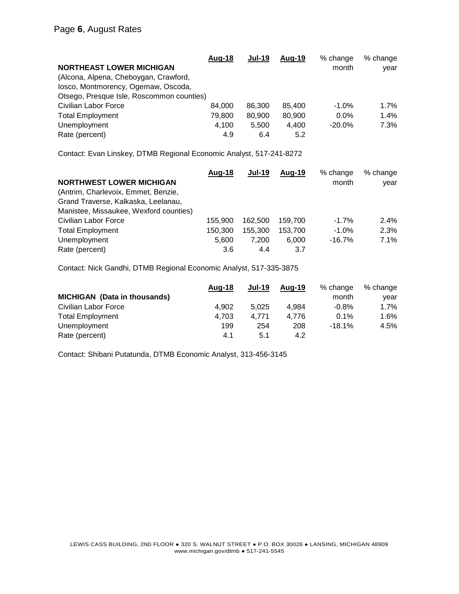|                                           | Aug-18 | <b>Jul-19</b> | Aug-19 | % change | % change |
|-------------------------------------------|--------|---------------|--------|----------|----------|
| <b>NORTHEAST LOWER MICHIGAN</b>           |        |               |        | month    | year     |
| (Alcona, Alpena, Cheboygan, Crawford,     |        |               |        |          |          |
| losco, Montmorency, Ogemaw, Oscoda,       |        |               |        |          |          |
| Otsego, Presque Isle, Roscommon counties) |        |               |        |          |          |
| <b>Civilian Labor Force</b>               | 84.000 | 86,300        | 85.400 | $-1.0\%$ | $1.7\%$  |
| <b>Total Employment</b>                   | 79.800 | 80,900        | 80,900 | $0.0\%$  | 1.4%     |
| Unemployment                              | 4,100  | 5.500         | 4.400  | $-20.0%$ | 7.3%     |
| Rate (percent)                            | 4.9    | 6.4           | 5.2    |          |          |

Contact: Evan Linskey, DTMB Regional Economic Analyst, 517-241-8272

|                                        | Aug-18  | <b>Jul-19</b> | Aug-19  | % change | % change |
|----------------------------------------|---------|---------------|---------|----------|----------|
| <b>NORTHWEST LOWER MICHIGAN</b>        |         |               |         | month    | year     |
| (Antrim, Charlevoix, Emmet, Benzie,    |         |               |         |          |          |
| Grand Traverse, Kalkaska, Leelanau,    |         |               |         |          |          |
| Manistee, Missaukee, Wexford counties) |         |               |         |          |          |
| Civilian Labor Force                   | 155.900 | 162.500       | 159.700 | $-1.7\%$ | $2.4\%$  |
| <b>Total Employment</b>                | 150.300 | 155,300       | 153.700 | $-1.0\%$ | 2.3%     |
| Unemployment                           | 5.600   | 7.200         | 6.000   | $-16.7%$ | 7.1%     |
| Rate (percent)                         | 3.6     | 4.4           | 3.7     |          |          |

Contact: Nick Gandhi, DTMB Regional Economic Analyst, 517-335-3875

|                                     | Aug-18 | <b>Jul-19</b> | Aug-19 | % change | % change |
|-------------------------------------|--------|---------------|--------|----------|----------|
| <b>MICHIGAN</b> (Data in thousands) |        |               |        | month    | vear     |
| Civilian Labor Force                | 4.902  | 5.025         | 4.984  | $-0.8%$  | $1.7\%$  |
| <b>Total Employment</b>             | 4.703  | 4.771         | 4.776  | 0.1%     | 1.6%     |
| Unemployment                        | 199    | 254           | 208    | $-18.1%$ | 4.5%     |
| Rate (percent)                      | 4.1    | 5.1           | 4.2    |          |          |

Contact: Shibani Putatunda, DTMB Economic Analyst, 313-456-3145